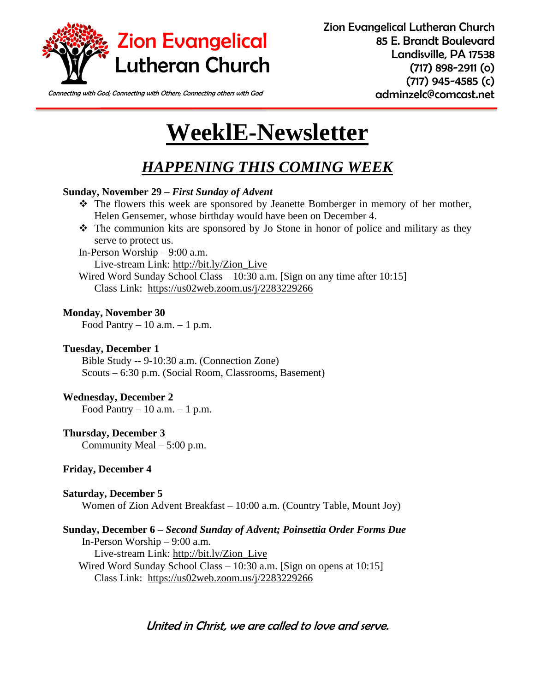

Connecting with God; Connecting with Others; Connecting others with God **connecting or connecting of Connecting of** Connecting others with God **connecting of Connecting or** Connecting with Others; Connecting others with Go

# **WeeklE-Newsletter**

## *HAPPENING THIS COMING WEEK*

#### **Sunday, November 29 –** *First Sunday of Advent*

- ❖ The flowers this week are sponsored by Jeanette Bomberger in memory of her mother, Helen Gensemer, whose birthday would have been on December 4.
- $\hat{\mathbf{v}}$  The communion kits are sponsored by Jo Stone in honor of police and military as they serve to protect us.

In-Person Worship – 9:00 a.m.

Live-stream Link: [http://bit.ly/Zion\\_Live](http://bit.ly/Zion_Live)

Wired Word Sunday School Class – 10:30 a.m. [Sign on any time after 10:15] Class Link: <https://us02web.zoom.us/j/2283229266>

#### **Monday, November 30**

Food Pantry  $-10$  a.m.  $-1$  p.m.

#### **Tuesday, December 1**

Bible Study -- 9-10:30 a.m. (Connection Zone) Scouts – 6:30 p.m. (Social Room, Classrooms, Basement)

#### **Wednesday, December 2**

Food Pantry  $-10$  a.m.  $-1$  p.m.

#### **Thursday, December 3**

Community Meal – 5:00 p.m.

#### **Friday, December 4**

#### **Saturday, December 5**

Women of Zion Advent Breakfast – 10:00 a.m. (Country Table, Mount Joy)

### **Sunday, December 6 –** *Second Sunday of Advent; Poinsettia Order Forms Due*

In-Person Worship – 9:00 a.m. Live-stream Link: [http://bit.ly/Zion\\_Live](http://bit.ly/Zion_Live) Wired Word Sunday School Class – 10:30 a.m. [Sign on opens at 10:15] Class Link: <https://us02web.zoom.us/j/2283229266>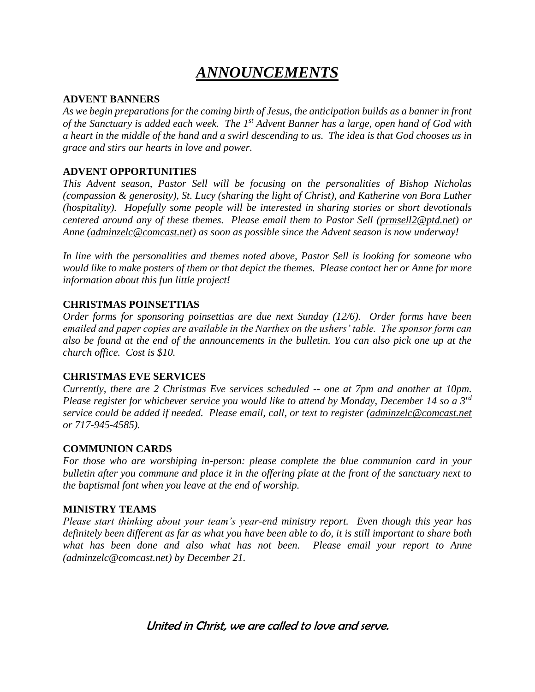## *ANNOUNCEMENTS*

#### **ADVENT BANNERS**

*As we begin preparations for the coming birth of Jesus, the anticipation builds as a banner in front of the Sanctuary is added each week. The 1st Advent Banner has a large, open hand of God with a heart in the middle of the hand and a swirl descending to us. The idea is that God chooses us in grace and stirs our hearts in love and power.*

#### **ADVENT OPPORTUNITIES**

*This Advent season, Pastor Sell will be focusing on the personalities of Bishop Nicholas (compassion & generosity), St. Lucy (sharing the light of Christ), and Katherine von Bora Luther (hospitality). Hopefully some people will be interested in sharing stories or short devotionals centered around any of these themes. Please email them to Pastor Sell [\(prmsell2@ptd.net\)](mailto:prmsell2@ptd.net) or Anne [\(adminzelc@comcast.net\)](mailto:adminzelc@comcast.net) as soon as possible since the Advent season is now underway!* 

*In line with the personalities and themes noted above, Pastor Sell is looking for someone who would like to make posters of them or that depict the themes. Please contact her or Anne for more information about this fun little project!*

#### **CHRISTMAS POINSETTIAS**

*Order forms for sponsoring poinsettias are due next Sunday (12/6). Order forms have been emailed and paper copies are available in the Narthex on the ushers' table. The sponsor form can also be found at the end of the announcements in the bulletin. You can also pick one up at the church office. Cost is \$10.* 

#### **CHRISTMAS EVE SERVICES**

*Currently, there are 2 Christmas Eve services scheduled -- one at 7pm and another at 10pm. Please register for whichever service you would like to attend by Monday, December 14 so a 3rd service could be added if needed. Please email, call, or text to register [\(adminzelc@comcast.net](mailto:adminzelc@comcast.net) or 717-945-4585).* 

#### **COMMUNION CARDS**

*For those who are worshiping in-person: please complete the blue communion card in your bulletin after you commune and place it in the offering plate at the front of the sanctuary next to the baptismal font when you leave at the end of worship.* 

#### **MINISTRY TEAMS**

*Please start thinking about your team's year-end ministry report. Even though this year has definitely been different as far as what you have been able to do, it is still important to share both what has been done and also what has not been. Please email your report to Anne (adminzelc@comcast.net) by December 21.*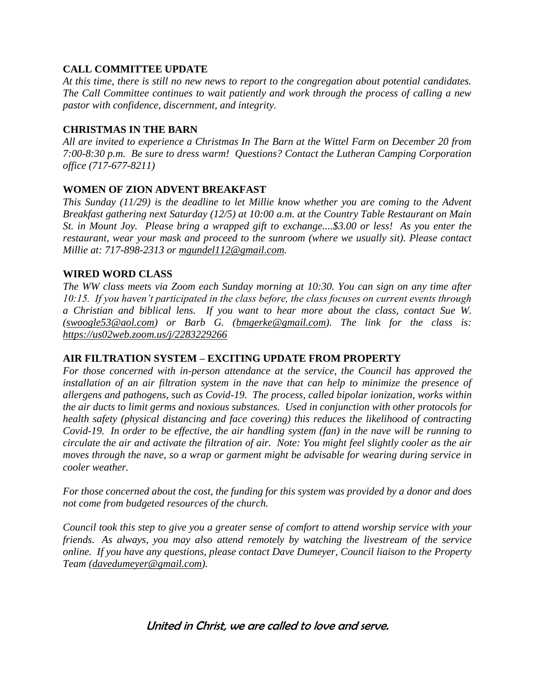#### **CALL COMMITTEE UPDATE**

*At this time, there is still no new news to report to the congregation about potential candidates. The Call Committee continues to wait patiently and work through the process of calling a new pastor with confidence, discernment, and integrity.* 

#### **CHRISTMAS IN THE BARN**

*All are invited to experience a Christmas In The Barn at the Wittel Farm on December 20 from 7:00-8:30 p.m. Be sure to dress warm! Questions? Contact the Lutheran Camping Corporation office (717-677-8211)*

#### **WOMEN OF ZION ADVENT BREAKFAST**

*This Sunday (11/29) is the deadline to let Millie know whether you are coming to the Advent Breakfast gathering next Saturday (12/5) at 10:00 a.m. at the Country Table Restaurant on Main St. in Mount Joy. Please bring a wrapped gift to exchange....\$3.00 or less! As you enter the restaurant, wear your mask and proceed to the sunroom (where we usually sit). Please contact Millie at: 717-898-2313 or [mgundel112@gmail.com.](mailto:mgundel112@gmail.com)*

#### **WIRED WORD CLASS**

*The WW class meets via Zoom each Sunday morning at 10:30. You can sign on any time after 10:15. If you haven't participated in the class before, the class focuses on current events through a Christian and biblical lens. If you want to hear more about the class, contact Sue W. [\(swoogle53@aol.com\)](mailto:swoogle53@aol.com) or Barb G. [\(bmgerke@gmail.com\)](mailto:bmgerke@gmail.com). The link for the class is: <https://us02web.zoom.us/j/2283229266>*

#### **AIR FILTRATION SYSTEM – EXCITING UPDATE FROM PROPERTY**

*For those concerned with in-person attendance at the service, the Council has approved the installation of an air filtration system in the nave that can help to minimize the presence of allergens and pathogens, such as Covid-19. The process, called bipolar ionization, works within the air ducts to limit germs and noxious substances. Used in conjunction with other protocols for health safety (physical distancing and face covering) this reduces the likelihood of contracting Covid-19. In order to be effective, the air handling system (fan) in the nave will be running to circulate the air and activate the filtration of air. Note: You might feel slightly cooler as the air moves through the nave, so a wrap or garment might be advisable for wearing during service in cooler weather.*

*For those concerned about the cost, the funding for this system was provided by a donor and does not come from budgeted resources of the church.*

*Council took this step to give you a greater sense of comfort to attend worship service with your friends. As always, you may also attend remotely by watching the livestream of the service online. If you have any questions, please contact Dave Dumeyer, Council liaison to the Property Team [\(davedumeyer@gmail.com\)](mailto:davedumeyer@gmail.com).*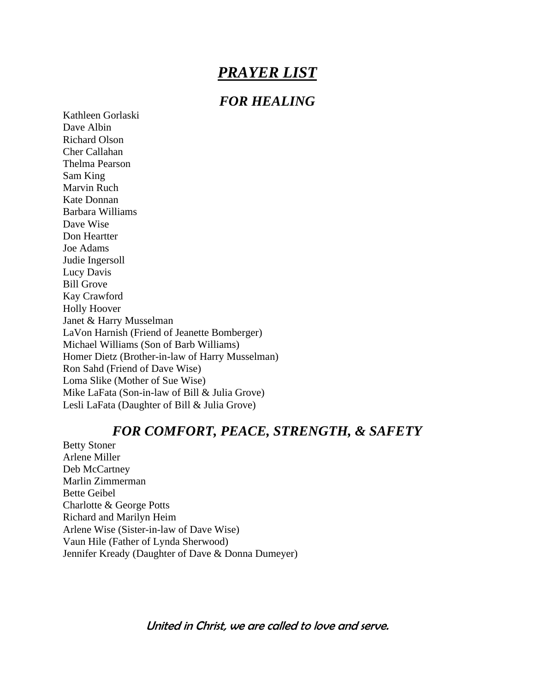## *PRAYER LIST*

### *FOR HEALING*

Kathleen Gorlaski Dave Albin Richard Olson Cher Callahan Thelma Pearson Sam King Marvin Ruch Kate Donnan Barbara Williams Dave Wise Don Heartter Joe Adams Judie Ingersoll Lucy Davis Bill Grove Kay Crawford Holly Hoover Janet & Harry Musselman LaVon Harnish (Friend of Jeanette Bomberger) Michael Williams (Son of Barb Williams) Homer Dietz (Brother-in-law of Harry Musselman) Ron Sahd (Friend of Dave Wise) Loma Slike (Mother of Sue Wise) Mike LaFata (Son-in-law of Bill & Julia Grove) Lesli LaFata (Daughter of Bill & Julia Grove)

## *FOR COMFORT, PEACE, STRENGTH, & SAFETY*

Betty Stoner Arlene Miller Deb McCartney Marlin Zimmerman Bette Geibel Charlotte & George Potts Richard and Marilyn Heim Arlene Wise (Sister-in-law of Dave Wise) Vaun Hile (Father of Lynda Sherwood) Jennifer Kready (Daughter of Dave & Donna Dumeyer)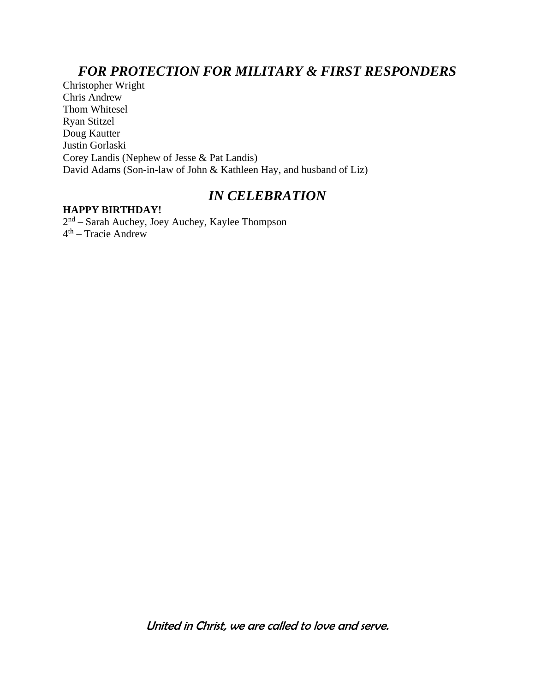## *FOR PROTECTION FOR MILITARY & FIRST RESPONDERS*

Christopher Wright Chris Andrew Thom Whitesel Ryan Stitzel Doug Kautter Justin Gorlaski Corey Landis (Nephew of Jesse & Pat Landis) David Adams (Son-in-law of John & Kathleen Hay, and husband of Liz)

## *IN CELEBRATION*

#### **HAPPY BIRTHDAY!**

2<sup>nd</sup> – Sarah Auchey, Joey Auchey, Kaylee Thompson 4<sup>th</sup> – Tracie Andrew